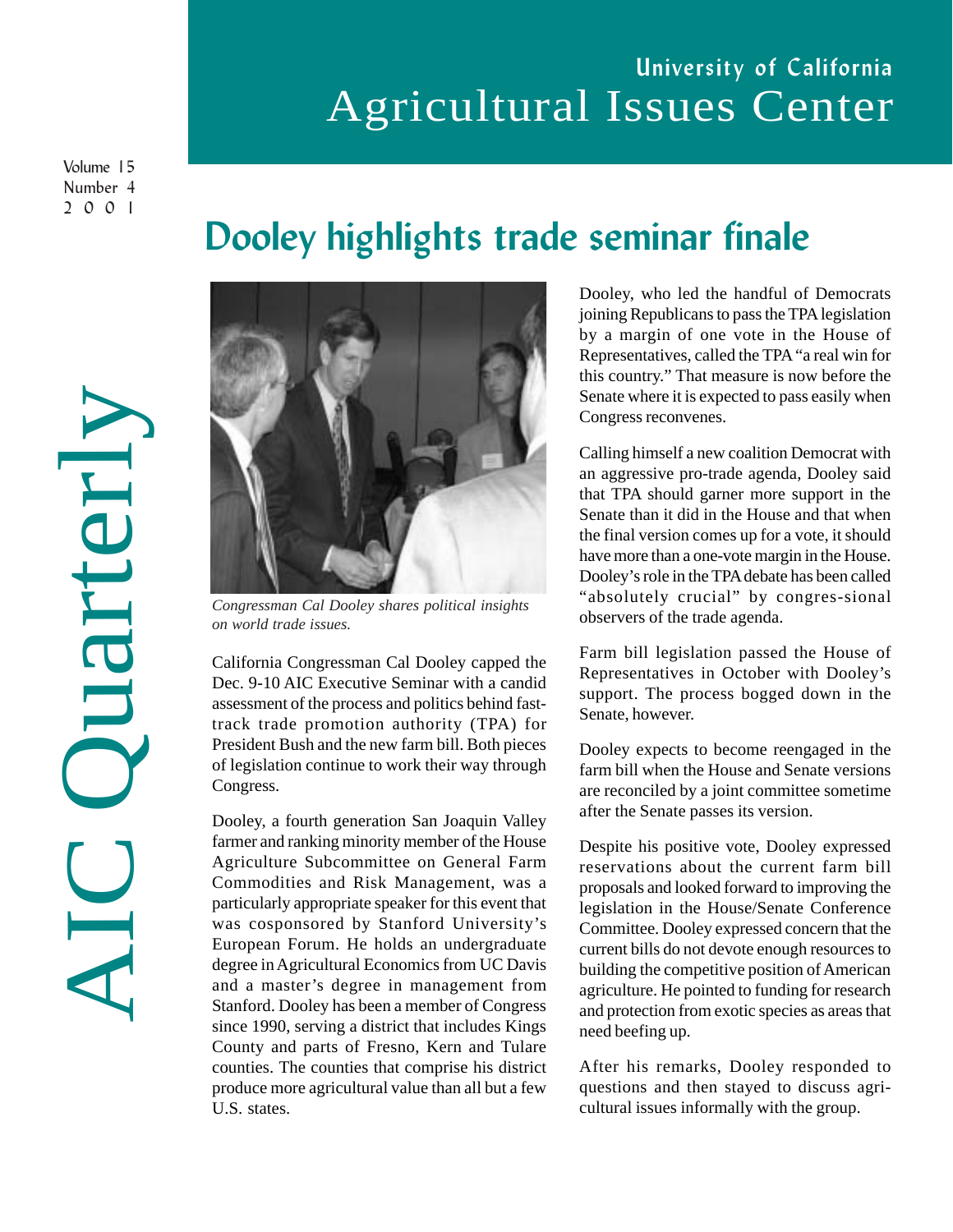## University of California Agricultural Issues Center

Volume 15 Number 4 2001

# Dooley highlights trade seminar finale



*on world trade issues.*

California Congressman Cal Dooley capped the Dec. 9-10 AIC Executive Seminar with a candid assessment of the process and politics behind fasttrack trade promotion authority (TPA) for President Bush and the new farm bill. Both pieces of legislation continue to work their way through Congress.

Dooley, a fourth generation San Joaquin Valley farmer and ranking minority member of the House Agriculture Subcommittee on General Farm Commodities and Risk Management, was a particularly appropriate speaker for this event that was cosponsored by Stanford University's European Forum. He holds an undergraduate degree in Agricultural Economics from UC Davis and a master's degree in management from Stanford. Dooley has been a member of Congress since 1990, serving a district that includes Kings County and parts of Fresno, Kern and Tulare counties. The counties that comprise his district produce more agricultural value than all but a few U.S. states.

Dooley, who led the handful of Democrats joining Republicans to pass the TPA legislation by a margin of one vote in the House of Representatives, called the TPA "a real win for this country." That measure is now before the Senate where it is expected to pass easily when Congress reconvenes.

Calling himself a new coalition Democrat with an aggressive pro-trade agenda, Dooley said that TPA should garner more support in the Senate than it did in the House and that when the final version comes up for a vote, it should have more than a one-vote margin in the House. Dooley's role in the TPA debate has been called "absolutely crucial" by congres-sional observers of the trade agenda.

Farm bill legislation passed the House of Representatives in October with Dooley's support. The process bogged down in the Senate, however.

Dooley expects to become reengaged in the farm bill when the House and Senate versions are reconciled by a joint committee sometime after the Senate passes its version.

Despite his positive vote, Dooley expressed reservations about the current farm bill proposals and looked forward to improving the legislation in the House/Senate Conference Committee. Dooley expressed concern that the current bills do not devote enough resources to building the competitive position of American agriculture. He pointed to funding for research and protection from exotic species as areas that need beefing up.

After his remarks, Dooley responded to questions and then stayed to discuss agricultural issues informally with the group.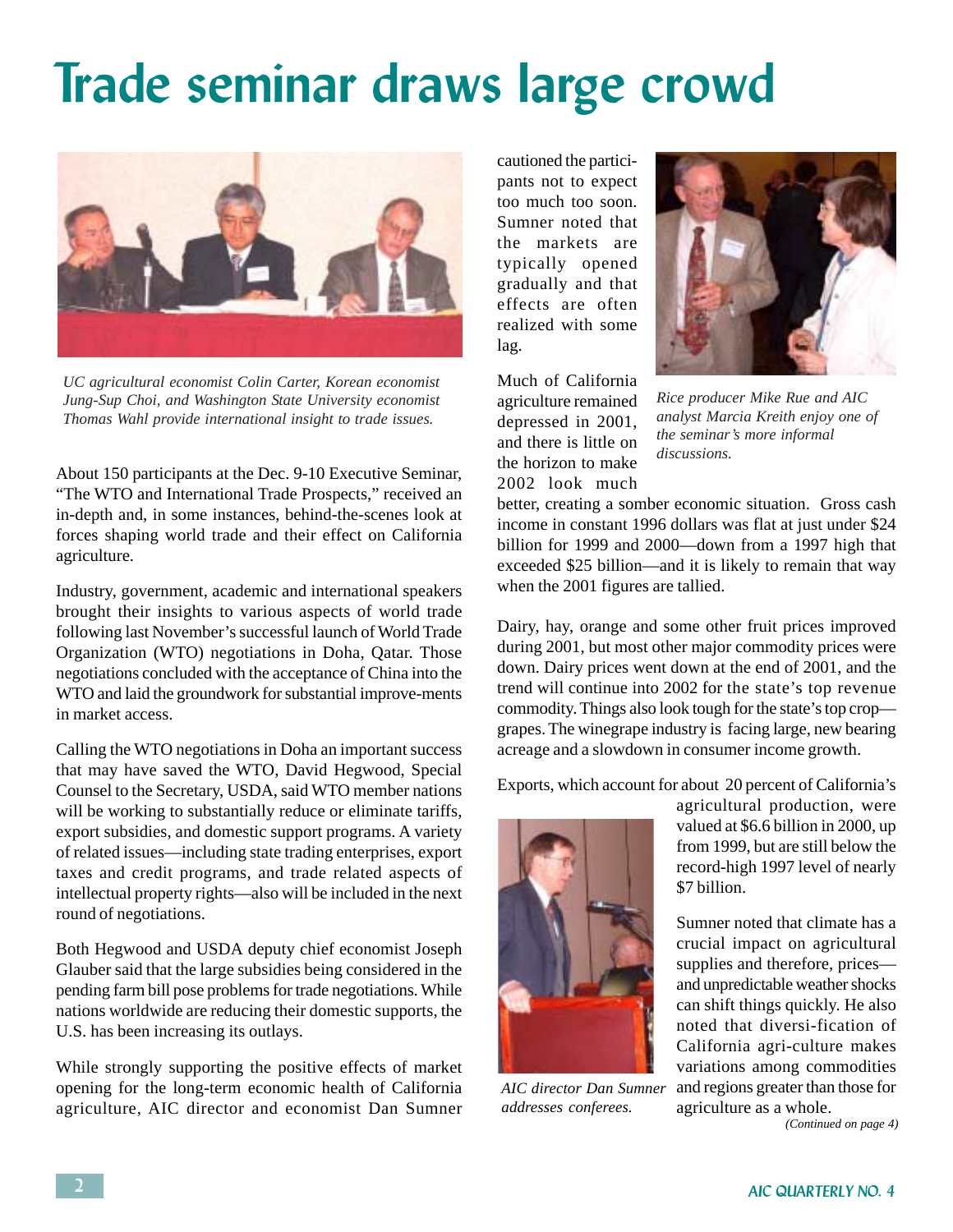# Trade seminar draws large crowd



*UC agricultural economist Colin Carter, Korean economist Jung-Sup Choi, and Washington State University economist Thomas Wahl provide international insight to trade issues.*

About 150 participants at the Dec. 9-10 Executive Seminar, "The WTO and International Trade Prospects," received an in-depth and, in some instances, behind-the-scenes look at forces shaping world trade and their effect on California agriculture.

Industry, government, academic and international speakers brought their insights to various aspects of world trade following last November's successful launch of World Trade Organization (WTO) negotiations in Doha, Qatar. Those negotiations concluded with the acceptance of China into the WTO and laid the groundwork for substantial improve-ments in market access.

Calling the WTO negotiations in Doha an important success that may have saved the WTO, David Hegwood, Special Counsel to the Secretary, USDA, said WTO member nations will be working to substantially reduce or eliminate tariffs, export subsidies, and domestic support programs. A variety of related issues—including state trading enterprises, export taxes and credit programs, and trade related aspects of intellectual property rights—also will be included in the next round of negotiations.

Both Hegwood and USDA deputy chief economist Joseph Glauber said that the large subsidies being considered in the pending farm bill pose problems for trade negotiations. While nations worldwide are reducing their domestic supports, the U.S. has been increasing its outlays.

While strongly supporting the positive effects of market opening for the long-term economic health of California agriculture, AIC director and economist Dan Sumner cautioned the participants not to expect too much too soon. Sumner noted that the markets are typically opened gradually and that effects are often realized with some lag.

Much of California agriculture remained depressed in 2001, and there is little on the horizon to make 2002 look much



*Rice producer Mike Rue and AIC analyst Marcia Kreith enjoy one of the seminar's more informal discussions.*

better, creating a somber economic situation. Gross cash income in constant 1996 dollars was flat at just under \$24 billion for 1999 and 2000—down from a 1997 high that exceeded \$25 billion—and it is likely to remain that way when the 2001 figures are tallied.

Dairy, hay, orange and some other fruit prices improved during 2001, but most other major commodity prices were down. Dairy prices went down at the end of 2001, and the trend will continue into 2002 for the state's top revenue commodity. Things also look tough for the state's top crop grapes. The winegrape industry is facing large, new bearing acreage and a slowdown in consumer income growth.

Exports, which account for about 20 percent of California's



*AIC director Dan Sumner addresses conferees.*

agricultural production, were valued at \$6.6 billion in 2000, up from 1999, but are still below the record-high 1997 level of nearly \$7 billion.

Sumner noted that climate has a crucial impact on agricultural supplies and therefore, prices and unpredictable weather shocks can shift things quickly. He also noted that diversi-fication of California agri-culture makes variations among commodities and regions greater than those for agriculture as a whole.

*(Continued on page 4)*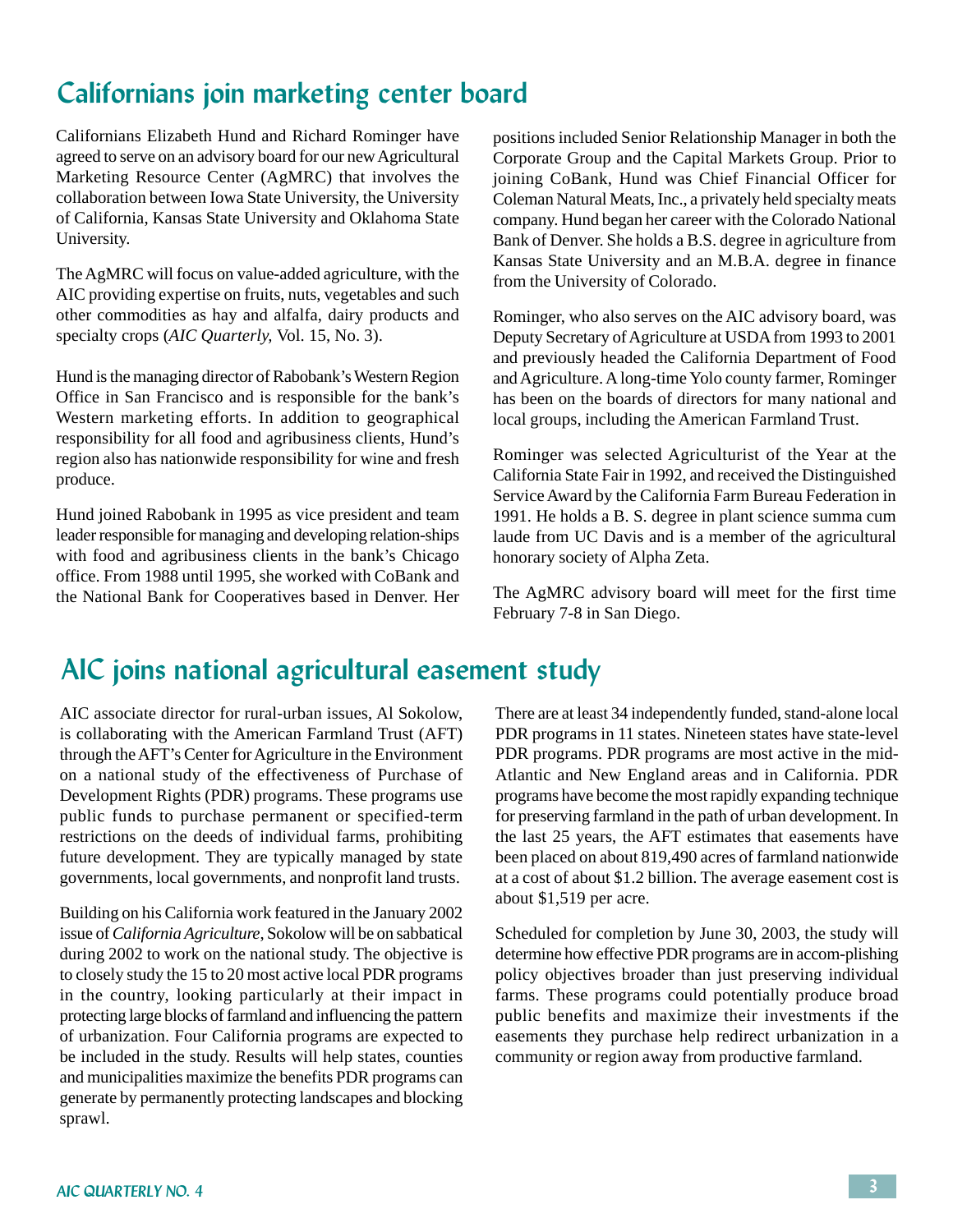## Californians join marketing center board

Californians Elizabeth Hund and Richard Rominger have agreed to serve on an advisory board for our new Agricultural Marketing Resource Center (AgMRC) that involves the collaboration between Iowa State University, the University of California, Kansas State University and Oklahoma State University.

The AgMRC will focus on value-added agriculture, with the AIC providing expertise on fruits, nuts, vegetables and such other commodities as hay and alfalfa, dairy products and specialty crops (*AIC Quarterly,* Vol. 15, No. 3).

Hund is the managing director of Rabobank's Western Region Office in San Francisco and is responsible for the bank's Western marketing efforts. In addition to geographical responsibility for all food and agribusiness clients, Hund's region also has nationwide responsibility for wine and fresh produce.

Hund joined Rabobank in 1995 as vice president and team leader responsible for managing and developing relation-ships with food and agribusiness clients in the bank's Chicago office. From 1988 until 1995, she worked with CoBank and the National Bank for Cooperatives based in Denver. Her

positions included Senior Relationship Manager in both the Corporate Group and the Capital Markets Group. Prior to joining CoBank, Hund was Chief Financial Officer for Coleman Natural Meats, Inc., a privately held specialty meats company. Hund began her career with the Colorado National Bank of Denver. She holds a B.S. degree in agriculture from Kansas State University and an M.B.A. degree in finance from the University of Colorado.

Rominger, who also serves on the AIC advisory board, was Deputy Secretary of Agriculture at USDA from 1993 to 2001 and previously headed the California Department of Food and Agriculture. A long-time Yolo county farmer, Rominger has been on the boards of directors for many national and local groups, including the American Farmland Trust.

Rominger was selected Agriculturist of the Year at the California State Fair in 1992, and received the Distinguished Service Award by the California Farm Bureau Federation in 1991. He holds a B. S. degree in plant science summa cum laude from UC Davis and is a member of the agricultural honorary society of Alpha Zeta.

The AgMRC advisory board will meet for the first time February 7-8 in San Diego.

## AIC joins national agricultural easement study

AIC associate director for rural-urban issues, Al Sokolow, is collaborating with the American Farmland Trust (AFT) through the AFT's Center for Agriculture in the Environment on a national study of the effectiveness of Purchase of Development Rights (PDR) programs. These programs use public funds to purchase permanent or specified-term restrictions on the deeds of individual farms, prohibiting future development. They are typically managed by state governments, local governments, and nonprofit land trusts.

Building on his California work featured in the January 2002 issue of *California Agriculture*, Sokolow will be on sabbatical during 2002 to work on the national study. The objective is to closely study the 15 to 20 most active local PDR programs in the country, looking particularly at their impact in protecting large blocks of farmland and influencing the pattern of urbanization. Four California programs are expected to be included in the study. Results will help states, counties and municipalities maximize the benefits PDR programs can generate by permanently protecting landscapes and blocking sprawl.

There are at least 34 independently funded, stand-alone local PDR programs in 11 states. Nineteen states have state-level PDR programs. PDR programs are most active in the mid-Atlantic and New England areas and in California. PDR programs have become the most rapidly expanding technique for preserving farmland in the path of urban development. In the last 25 years, the AFT estimates that easements have been placed on about 819,490 acres of farmland nationwide at a cost of about \$1.2 billion. The average easement cost is about \$1,519 per acre.

Scheduled for completion by June 30, 2003, the study will determine how effective PDR programs are in accom-plishing policy objectives broader than just preserving individual farms. These programs could potentially produce broad public benefits and maximize their investments if the easements they purchase help redirect urbanization in a community or region away from productive farmland.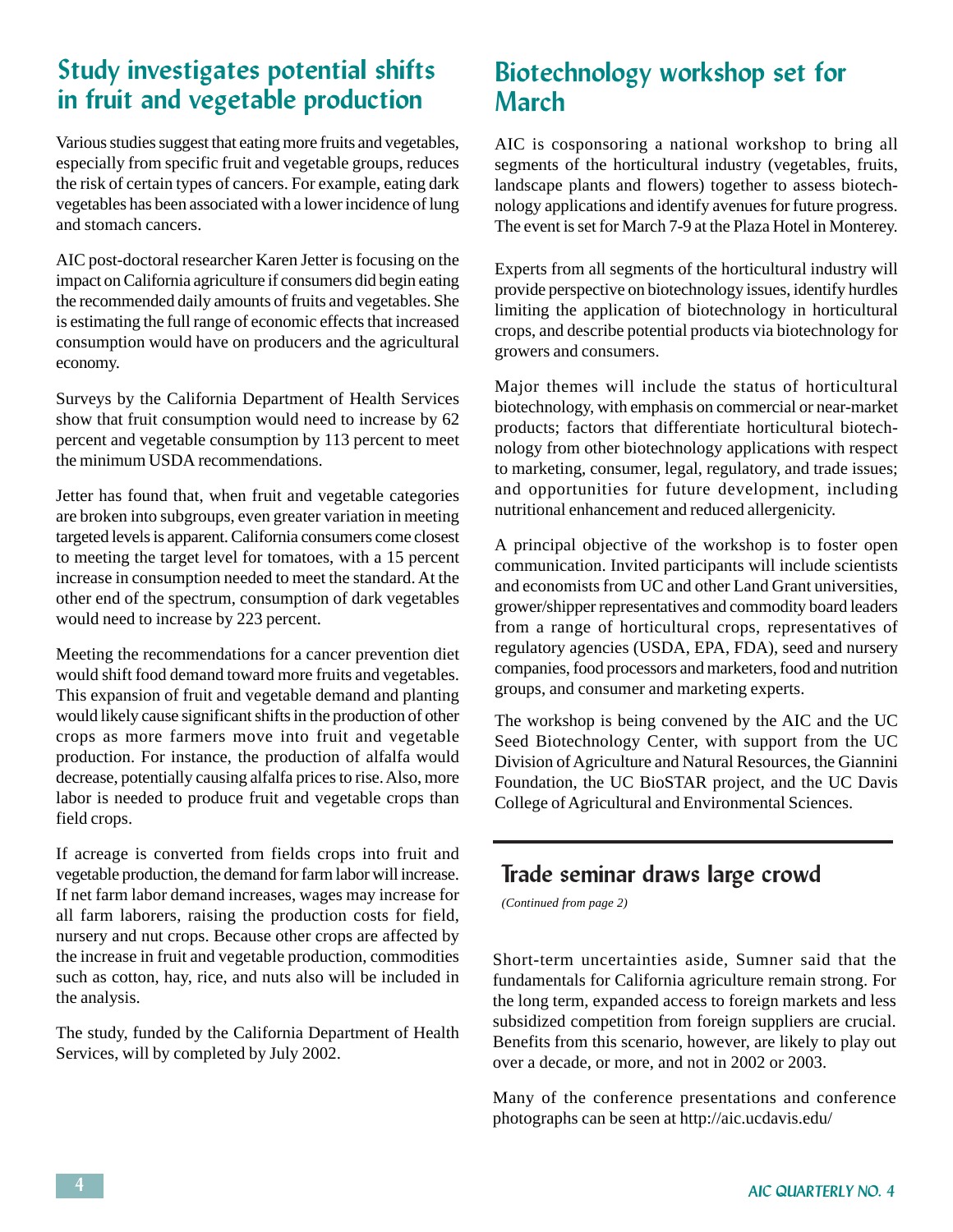#### Study investigates potential shifts in fruit and vegetable production

Various studies suggest that eating more fruits and vegetables, especially from specific fruit and vegetable groups, reduces the risk of certain types of cancers. For example, eating dark vegetables has been associated with a lower incidence of lung and stomach cancers.

AIC post-doctoral researcher Karen Jetter is focusing on the impact on California agriculture if consumers did begin eating the recommended daily amounts of fruits and vegetables. She is estimating the full range of economic effects that increased consumption would have on producers and the agricultural economy.

Surveys by the California Department of Health Services show that fruit consumption would need to increase by 62 percent and vegetable consumption by 113 percent to meet the minimum USDA recommendations.

Jetter has found that, when fruit and vegetable categories are broken into subgroups, even greater variation in meeting targeted levels is apparent. California consumers come closest to meeting the target level for tomatoes, with a 15 percent increase in consumption needed to meet the standard. At the other end of the spectrum, consumption of dark vegetables would need to increase by 223 percent.

Meeting the recommendations for a cancer prevention diet would shift food demand toward more fruits and vegetables. This expansion of fruit and vegetable demand and planting would likely cause significant shifts in the production of other crops as more farmers move into fruit and vegetable production. For instance, the production of alfalfa would decrease, potentially causing alfalfa prices to rise. Also, more labor is needed to produce fruit and vegetable crops than field crops.

If acreage is converted from fields crops into fruit and vegetable production, the demand for farm labor will increase. If net farm labor demand increases, wages may increase for all farm laborers, raising the production costs for field, nursery and nut crops. Because other crops are affected by the increase in fruit and vegetable production, commodities such as cotton, hay, rice, and nuts also will be included in the analysis.

The study, funded by the California Department of Health Services, will by completed by July 2002.

#### Biotechnology workshop set for March

AIC is cosponsoring a national workshop to bring all segments of the horticultural industry (vegetables, fruits, landscape plants and flowers) together to assess biotechnology applications and identify avenues for future progress. The event is set for March 7-9 at the Plaza Hotel in Monterey.

Experts from all segments of the horticultural industry will provide perspective on biotechnology issues, identify hurdles limiting the application of biotechnology in horticultural crops, and describe potential products via biotechnology for growers and consumers.

Major themes will include the status of horticultural biotechnology, with emphasis on commercial or near-market products; factors that differentiate horticultural biotechnology from other biotechnology applications with respect to marketing, consumer, legal, regulatory, and trade issues; and opportunities for future development, including nutritional enhancement and reduced allergenicity.

A principal objective of the workshop is to foster open communication. Invited participants will include scientists and economists from UC and other Land Grant universities, grower/shipper representatives and commodity board leaders from a range of horticultural crops, representatives of regulatory agencies (USDA, EPA, FDA), seed and nursery companies, food processors and marketers, food and nutrition groups, and consumer and marketing experts.

The workshop is being convened by the AIC and the UC Seed Biotechnology Center, with support from the UC Division of Agriculture and Natural Resources, the Giannini Foundation, the UC BioSTAR project, and the UC Davis College of Agricultural and Environmental Sciences.

#### Trade seminar draws large crowd

*(Continued from page 2)*

Short-term uncertainties aside, Sumner said that the fundamentals for California agriculture remain strong. For the long term, expanded access to foreign markets and less subsidized competition from foreign suppliers are crucial. Benefits from this scenario, however, are likely to play out over a decade, or more, and not in 2002 or 2003.

Many of the conference presentations and conference photographs can be seen at http://aic.ucdavis.edu/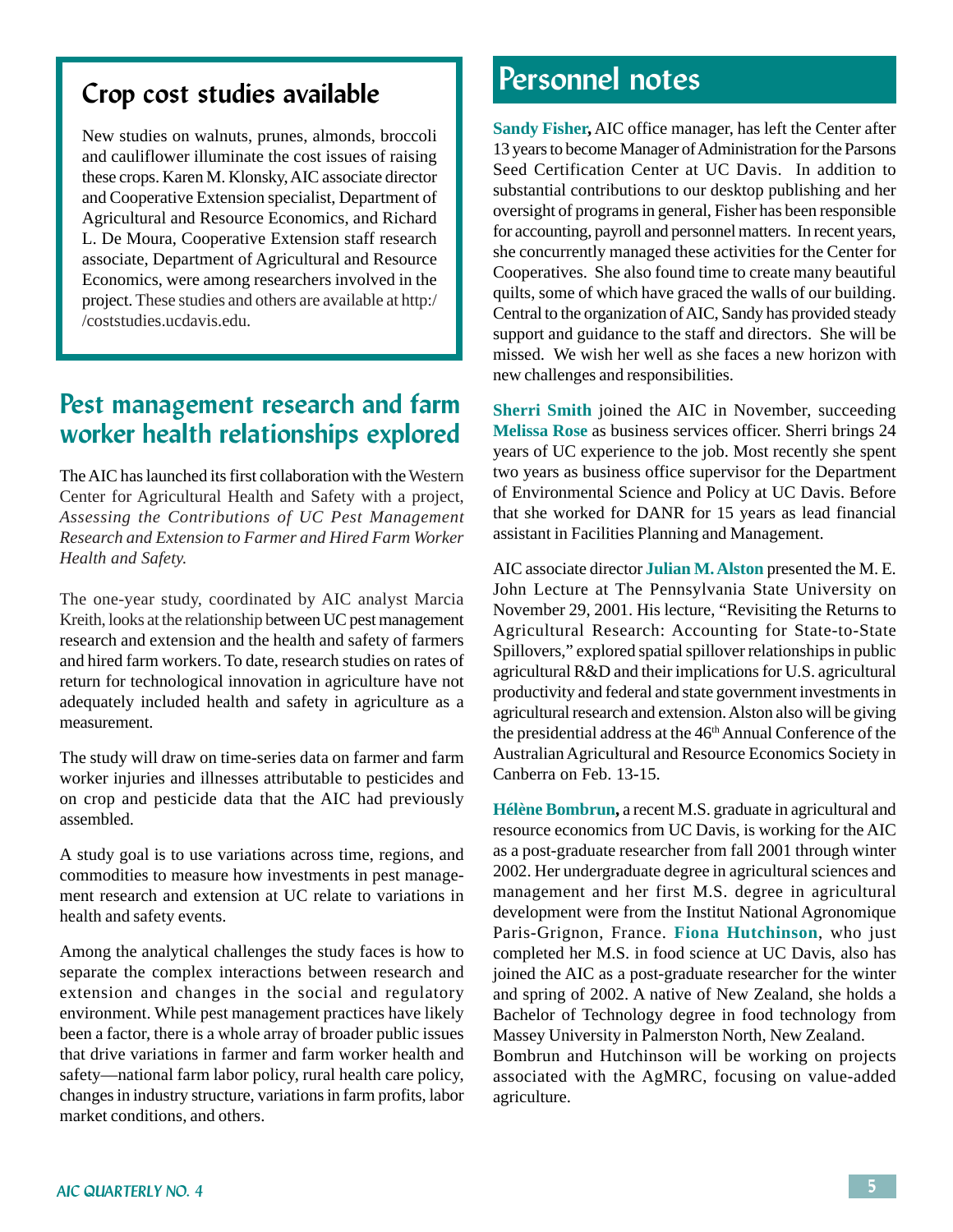#### Crop cost studies available

New studies on walnuts, prunes, almonds, broccoli and cauliflower illuminate the cost issues of raising these crops. Karen M. Klonsky, AIC associate director and Cooperative Extension specialist, Department of Agricultural and Resource Economics, and Richard L. De Moura, Cooperative Extension staff research associate, Department of Agricultural and Resource Economics, were among researchers involved in the project. These studies and others are available at http:/ /coststudies.ucdavis.edu.

#### Pest management research and farm worker health relationships explored

The AIC has launched its first collaboration with the Western Center for Agricultural Health and Safety with a project, *Assessing the Contributions of UC Pest Management Research and Extension to Farmer and Hired Farm Worker Health and Safety.*

The one-year study, coordinated by AIC analyst Marcia Kreith, looks at the relationship between UC pest management research and extension and the health and safety of farmers and hired farm workers. To date, research studies on rates of return for technological innovation in agriculture have not adequately included health and safety in agriculture as a measurement.

The study will draw on time-series data on farmer and farm worker injuries and illnesses attributable to pesticides and on crop and pesticide data that the AIC had previously assembled.

A study goal is to use variations across time, regions, and commodities to measure how investments in pest management research and extension at UC relate to variations in health and safety events.

Among the analytical challenges the study faces is how to separate the complex interactions between research and extension and changes in the social and regulatory environment. While pest management practices have likely been a factor, there is a whole array of broader public issues that drive variations in farmer and farm worker health and safety—national farm labor policy, rural health care policy, changes in industry structure, variations in farm profits, labor market conditions, and others.

## Personnel notes

**Sandy Fisher,** AIC office manager, has left the Center after 13 years to become Manager of Administration for the Parsons Seed Certification Center at UC Davis. In addition to substantial contributions to our desktop publishing and her oversight of programs in general, Fisher has been responsible for accounting, payroll and personnel matters. In recent years, she concurrently managed these activities for the Center for Cooperatives. She also found time to create many beautiful quilts, some of which have graced the walls of our building. Central to the organization of AIC, Sandy has provided steady support and guidance to the staff and directors. She will be missed. We wish her well as she faces a new horizon with new challenges and responsibilities.

**Sherri Smith** joined the AIC in November, succeeding **Melissa Rose** as business services officer. Sherri brings 24 years of UC experience to the job. Most recently she spent two years as business office supervisor for the Department of Environmental Science and Policy at UC Davis. Before that she worked for DANR for 15 years as lead financial assistant in Facilities Planning and Management.

AIC associate director **Julian M. Alston** presented the M. E. John Lecture at The Pennsylvania State University on November 29, 2001. His lecture, "Revisiting the Returns to Agricultural Research: Accounting for State-to-State Spillovers," explored spatial spillover relationships in public agricultural R&D and their implications for U.S. agricultural productivity and federal and state government investments in agricultural research and extension. Alston also will be giving the presidential address at the 46<sup>th</sup> Annual Conference of the Australian Agricultural and Resource Economics Society in Canberra on Feb. 13-15.

**Hélène Bombrun,** a recent M.S. graduate in agricultural and resource economics from UC Davis, is working for the AIC as a post-graduate researcher from fall 2001 through winter 2002. Her undergraduate degree in agricultural sciences and management and her first M.S. degree in agricultural development were from the Institut National Agronomique Paris-Grignon, France. **Fiona Hutchinson**, who just completed her M.S. in food science at UC Davis, also has joined the AIC as a post-graduate researcher for the winter and spring of 2002. A native of New Zealand, she holds a Bachelor of Technology degree in food technology from Massey University in Palmerston North, New Zealand. Bombrun and Hutchinson will be working on projects

associated with the AgMRC, focusing on value-added agriculture.